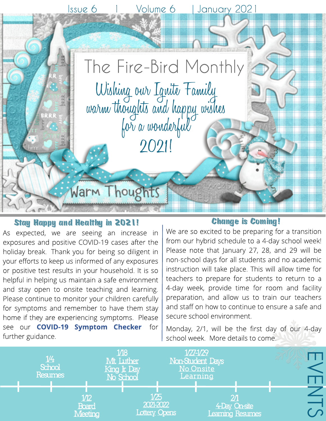

### **Stay Happy and Healthy in 2021!**

As expected, we are seeing an increase in exposures and positive COVID-19 cases after the holiday break. Thank you for being so diligent in your efforts to keep us informed of any exposures or positive test results in your household. It is so helpful in helping us maintain a safe environment and stay open to onsite teaching and learning. Please continue to monitor your children carefully for symptoms and remember to have them stay home if they are experiencing symptoms. Please see our **[COVID-19](https://drive.google.com/file/d/19lQErIUziA6mRbw1xi8yEkr0U0fVduZ-/view?usp=sharing) [Sym](https://drive.google.com/file/d/19lQErIUziA6mRbw1xi8yEkr0U0fVduZ-/view?usp=sharing)ptom [Checker](https://drive.google.com/file/d/19lQErIUziA6mRbw1xi8yEkr0U0fVduZ-/view?usp=sharing)** for further guidance.

#### **Change is Coming!**

We are so excited to be preparing for a transition from our hybrid schedule to a 4-day school week! Please note that January 27, 28, and 29 will be non-school days for all students and no academic instruction will take place. This will allow time for teachers to prepare for students to return to a 4-day week, provide time for room and facility preparation, and allow us to train our teachers and staff on how to continue to ensure a safe and secure school environment.

Monday, 2/1, will be the first day of our 4-day school week. More details to come.

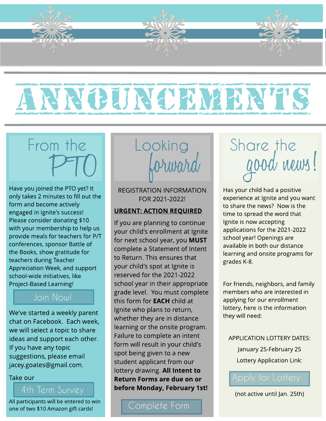

# ANNOUNCEMENTS

## From the PTO

Have you joined the PTO yet? It only takes 2 minutes to fill out the form and become actively engaged in Ignite's success! Please consider donating \$10 with your membership to help us provide meals for teachers for P/T conferences, sponsor Battle of the Books, show gratitude for teachers during Teacher Appreciation Week, and support school-wide initiatives, like Project-Based Learning!

### [Joi](https://igniteutah.org/parent-teacher-organization/)n Now!

We've started a weekly parent chat on Facebook. Each week, we will select a topic to share ideas and support each other. If you have any topic suggestions, please email jacey.goates@gmail.com.

#### Take our

All participants will be entered to win one of two \$10 Amazon gift cards!



REGISTRATION INFORMATION FOR 2021-2022!

#### URGENT: ACTION REQUIRED

If you are planning to continue your child's enrollment at Ignite for next school year, you MUST complete a Statement of Intent to Return. This ensures that your child's spot at Ignite is reserved for the 2021-2022 school year in their appropriate grade level. You must complete this form for **EACH** child at Ignite who plans to return, whether they are in distance learning or the onsite program. Failure to complete an intent form will result in your child's spot being given to a new student applicant from our lottery drawing. All Intent to Return Forms are due on or before Monday, February 1st!

[Complete](https://docs.google.com/forms/d/e/1FAIpQLSdjxEMH1nR-rAogv42iwc9bQdrYzmPLxJ83dsDw4lGJlNXdtw/viewform) [Form](https://forms.gle/AESCvAhsvNcPEn9a7)

## Share the good news!

Has your child had a positive experience at Ignite and you want to share the news? Now is the time to spread the word that Ignite is now accepting applications for the 2021-2022 school year! Openings are available in both our distance learning and onsite programs for grades K-8.

For friends, neighbors, and family members who are interested in applying for our enrollment lottery, here is the information they will need:

#### APPLICATION LOTTERY DATES:

January 25-February 25 Lottery Application Link:

(not active until Jan. 25th)